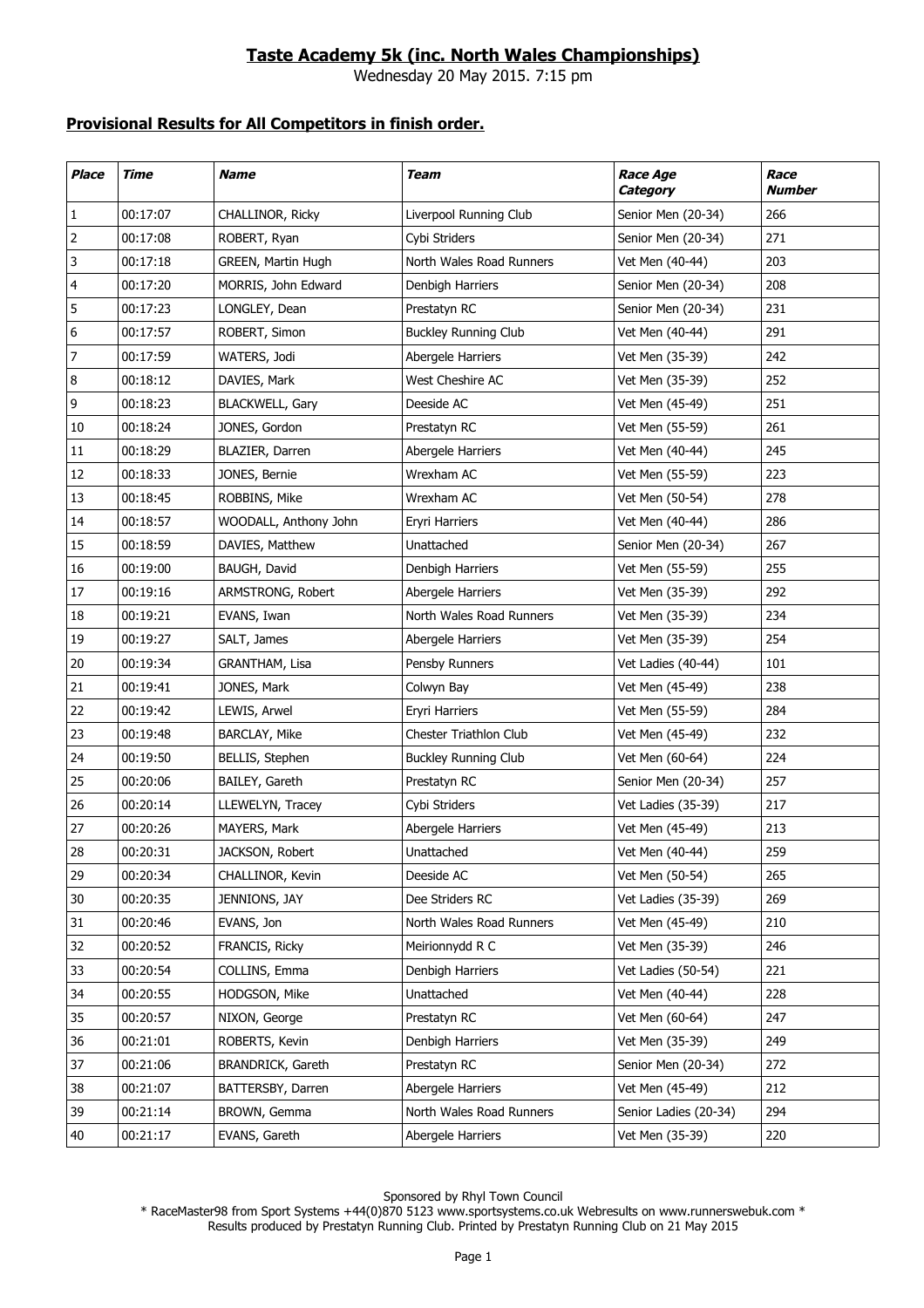## **Taste Academy 5k (inc. North Wales Championships)**

Wednesday 20 May 2015. 7:15 pm

## **Provisional Results for All Competitors in finish order.**

| <b>Place</b> | Time     | <b>Name</b>            | Team                        | <b>Race Age</b><br>Category | Race<br><b>Number</b> |
|--------------|----------|------------------------|-----------------------------|-----------------------------|-----------------------|
| $\mathbf{1}$ | 00:17:07 | CHALLINOR, Ricky       | Liverpool Running Club      | Senior Men (20-34)          | 266                   |
| 2            | 00:17:08 | ROBERT, Ryan           | Cybi Striders               | Senior Men (20-34)          | 271                   |
| 3            | 00:17:18 | GREEN, Martin Hugh     | North Wales Road Runners    | Vet Men (40-44)             | 203                   |
| 4            | 00:17:20 | MORRIS, John Edward    | Denbigh Harriers            | Senior Men (20-34)          | 208                   |
| 5            | 00:17:23 | LONGLEY, Dean          | Prestatyn RC                | Senior Men (20-34)          | 231                   |
| 6            | 00:17:57 | ROBERT, Simon          | <b>Buckley Running Club</b> | Vet Men (40-44)             | 291                   |
| 7            | 00:17:59 | WATERS, Jodi           | Abergele Harriers           | Vet Men (35-39)             | 242                   |
| 8            | 00:18:12 | DAVIES, Mark           | West Cheshire AC            | Vet Men (35-39)             | 252                   |
| 9            | 00:18:23 | <b>BLACKWELL, Gary</b> | Deeside AC                  | Vet Men (45-49)             | 251                   |
| 10           | 00:18:24 | JONES, Gordon          | Prestatyn RC                | Vet Men (55-59)             | 261                   |
| 11           | 00:18:29 | BLAZIER, Darren        | Abergele Harriers           | Vet Men (40-44)             | 245                   |
| 12           | 00:18:33 | JONES, Bernie          | Wrexham AC                  | Vet Men (55-59)             | 223                   |
| 13           | 00:18:45 | ROBBINS, Mike          | Wrexham AC                  | Vet Men (50-54)             | 278                   |
| 14           | 00:18:57 | WOODALL, Anthony John  | Eryri Harriers              | Vet Men (40-44)             | 286                   |
| 15           | 00:18:59 | DAVIES, Matthew        | Unattached                  | Senior Men (20-34)          | 267                   |
| 16           | 00:19:00 | BAUGH, David           | Denbigh Harriers            | Vet Men (55-59)             | 255                   |
| 17           | 00:19:16 | ARMSTRONG, Robert      | Abergele Harriers           | Vet Men (35-39)             | 292                   |
| 18           | 00:19:21 | EVANS, Iwan            | North Wales Road Runners    | Vet Men (35-39)             | 234                   |
| 19           | 00:19:27 | SALT, James            | Abergele Harriers           | Vet Men (35-39)             | 254                   |
| 20           | 00:19:34 | GRANTHAM, Lisa         | Pensby Runners              | Vet Ladies (40-44)          | 101                   |
| 21           | 00:19:41 | JONES, Mark            | Colwyn Bay                  | Vet Men (45-49)             | 238                   |
| 22           | 00:19:42 | LEWIS, Arwel           | <b>Eryri Harriers</b>       | Vet Men (55-59)             | 284                   |
| 23           | 00:19:48 | <b>BARCLAY, Mike</b>   | Chester Triathlon Club      | Vet Men (45-49)             | 232                   |
| 24           | 00:19:50 | BELLIS, Stephen        | <b>Buckley Running Club</b> | Vet Men (60-64)             | 224                   |
| 25           | 00:20:06 | BAILEY, Gareth         | Prestatyn RC                | Senior Men (20-34)          | 257                   |
| 26           | 00:20:14 | LLEWELYN, Tracey       | Cybi Striders               | Vet Ladies (35-39)          | 217                   |
| 27           | 00:20:26 | MAYERS, Mark           | Abergele Harriers           | Vet Men (45-49)             | 213                   |
| 28           | 00:20:31 | JACKSON, Robert        | Unattached                  | Vet Men (40-44)             | 259                   |
| 29           | 00:20:34 | CHALLINOR, Kevin       | Deeside AC                  | Vet Men (50-54)             | 265                   |
| 30           | 00:20:35 | JENNIONS, JAY          | Dee Striders RC             | Vet Ladies (35-39)          | 269                   |
| 31           | 00:20:46 | EVANS, Jon             | North Wales Road Runners    | Vet Men (45-49)             | 210                   |
| 32           | 00:20:52 | FRANCIS, Ricky         | Meirionnydd R C             | Vet Men (35-39)             | 246                   |
| 33           | 00:20:54 | COLLINS, Emma          | Denbigh Harriers            | Vet Ladies (50-54)          | 221                   |
| 34           | 00:20:55 | HODGSON, Mike          | Unattached                  | Vet Men (40-44)             | 228                   |
| 35           | 00:20:57 | NIXON, George          | Prestatyn RC                | Vet Men (60-64)             | 247                   |
| 36           | 00:21:01 | ROBERTS, Kevin         | Denbigh Harriers            | Vet Men (35-39)             | 249                   |
| 37           | 00:21:06 | BRANDRICK, Gareth      | Prestatyn RC                | Senior Men (20-34)          | 272                   |
| 38           | 00:21:07 | BATTERSBY, Darren      | Abergele Harriers           | Vet Men (45-49)             | 212                   |
| 39           | 00:21:14 | BROWN, Gemma           | North Wales Road Runners    | Senior Ladies (20-34)       | 294                   |
| 40           | 00:21:17 | EVANS, Gareth          | Abergele Harriers           | Vet Men (35-39)             | 220                   |

Sponsored by Rhyl Town Council

\* RaceMaster98 from Sport Systems +44(0)870 5123 www.sportsystems.co.uk Webresults on www.runnerswebuk.com \* Results produced by Prestatyn Running Club. Printed by Prestatyn Running Club on 21 May 2015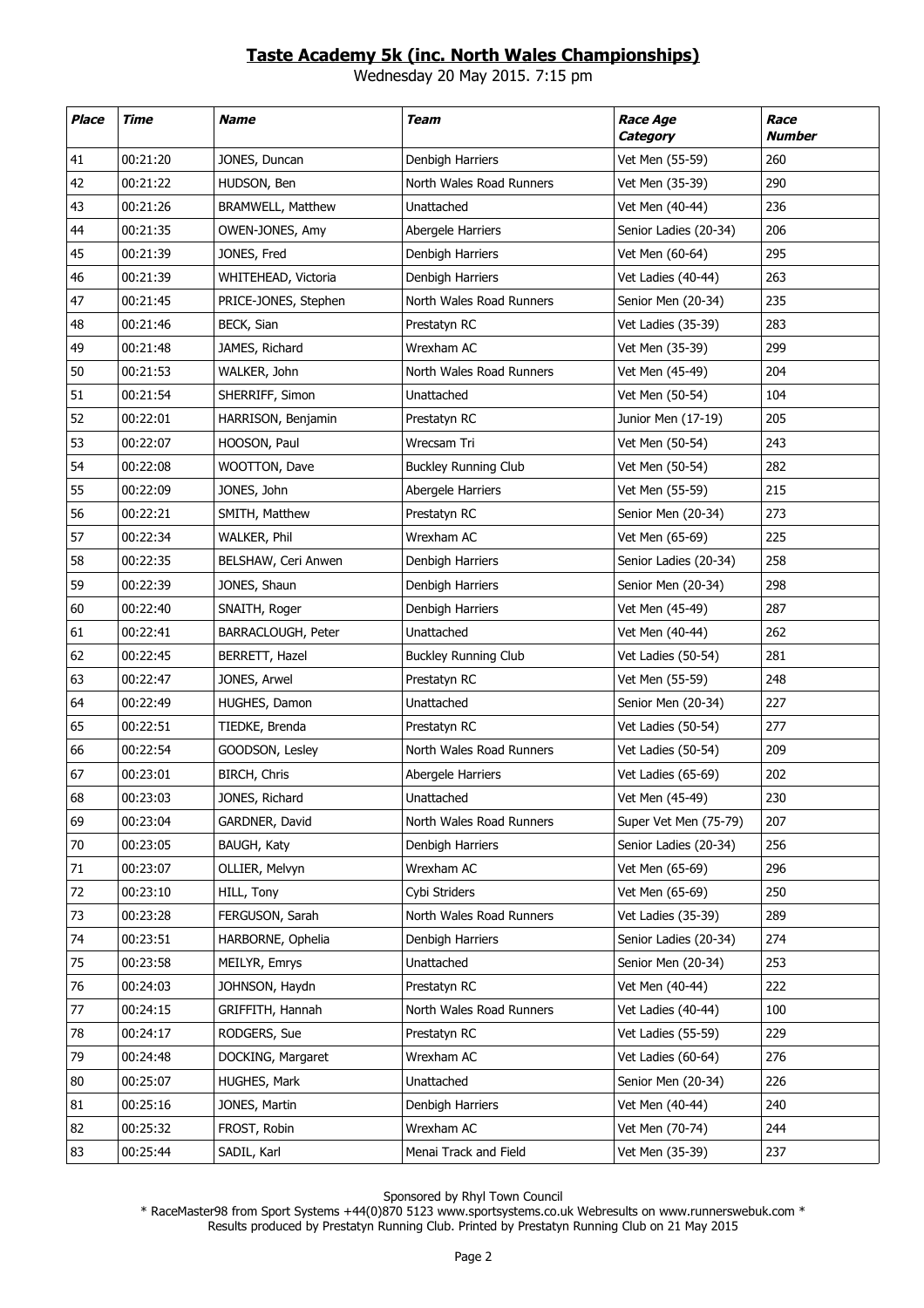## **Taste Academy 5k (inc. North Wales Championships)**

Wednesday 20 May 2015. 7:15 pm

| <b>Place</b> | Time     | <b>Name</b>              | Team                        | <b>Race Age</b><br>Category | Race<br><b>Number</b> |
|--------------|----------|--------------------------|-----------------------------|-----------------------------|-----------------------|
| 41           | 00:21:20 | JONES, Duncan            | Denbigh Harriers            | Vet Men (55-59)             | 260                   |
| 42           | 00:21:22 | HUDSON, Ben              | North Wales Road Runners    | Vet Men (35-39)             | 290                   |
| 43           | 00:21:26 | <b>BRAMWELL, Matthew</b> | Unattached                  | Vet Men (40-44)             | 236                   |
| 44           | 00:21:35 | OWEN-JONES, Amy          | Abergele Harriers           | Senior Ladies (20-34)       | 206                   |
| 45           | 00:21:39 | JONES, Fred              | Denbigh Harriers            | Vet Men (60-64)             | 295                   |
| 46           | 00:21:39 | WHITEHEAD, Victoria      | Denbigh Harriers            | Vet Ladies (40-44)          | 263                   |
| 47           | 00:21:45 | PRICE-JONES, Stephen     | North Wales Road Runners    | Senior Men (20-34)          | 235                   |
| 48           | 00:21:46 | BECK, Sian               | Prestatyn RC                | Vet Ladies (35-39)          | 283                   |
| 49           | 00:21:48 | JAMES, Richard           | Wrexham AC                  | Vet Men (35-39)             | 299                   |
| 50           | 00:21:53 | WALKER, John             | North Wales Road Runners    | Vet Men (45-49)             | 204                   |
| 51           | 00:21:54 | SHERRIFF, Simon          | Unattached                  | Vet Men (50-54)             | 104                   |
| 52           | 00:22:01 | HARRISON, Benjamin       | Prestatyn RC                | Junior Men (17-19)          | 205                   |
| 53           | 00:22:07 | HOOSON, Paul             | Wrecsam Tri                 | Vet Men (50-54)             | 243                   |
| 54           | 00:22:08 | WOOTTON, Dave            | <b>Buckley Running Club</b> | Vet Men (50-54)             | 282                   |
| 55           | 00:22:09 | JONES, John              | Abergele Harriers           | Vet Men (55-59)             | 215                   |
| 56           | 00:22:21 | SMITH, Matthew           | Prestatyn RC                | Senior Men (20-34)          | 273                   |
| 57           | 00:22:34 | WALKER, Phil             | Wrexham AC                  | Vet Men (65-69)             | 225                   |
| 58           | 00:22:35 | BELSHAW, Ceri Anwen      | Denbigh Harriers            | Senior Ladies (20-34)       | 258                   |
| 59           | 00:22:39 | JONES, Shaun             | Denbigh Harriers            | Senior Men (20-34)          | 298                   |
| 60           | 00:22:40 | SNAITH, Roger            | Denbigh Harriers            | Vet Men (45-49)             | 287                   |
| 61           | 00:22:41 | BARRACLOUGH, Peter       | Unattached                  | Vet Men (40-44)             | 262                   |
| 62           | 00:22:45 | BERRETT, Hazel           | <b>Buckley Running Club</b> | Vet Ladies (50-54)          | 281                   |
| 63           | 00:22:47 | JONES, Arwel             | Prestatyn RC                | Vet Men (55-59)             | 248                   |
| 64           | 00:22:49 | HUGHES, Damon            | Unattached                  | Senior Men (20-34)          | 227                   |
| 65           | 00:22:51 | TIEDKE, Brenda           | Prestatyn RC                | Vet Ladies (50-54)          | 277                   |
| 66           | 00:22:54 | GOODSON, Lesley          | North Wales Road Runners    | Vet Ladies (50-54)          | 209                   |
| 67           | 00:23:01 | BIRCH, Chris             | Abergele Harriers           | Vet Ladies (65-69)          | 202                   |
| 68           | 00:23:03 | JONES, Richard           | Unattached                  | Vet Men (45-49)             | 230                   |
| 69           | 00:23:04 | GARDNER, David           | North Wales Road Runners    | Super Vet Men (75-79)       | 207                   |
| 70           | 00:23:05 | BAUGH, Katy              | Denbigh Harriers            | Senior Ladies (20-34)       | 256                   |
| 71           | 00:23:07 | OLLIER, Melvyn           | Wrexham AC                  | Vet Men (65-69)             | 296                   |
| 72           | 00:23:10 | HILL, Tony               | Cybi Striders               | Vet Men (65-69)             | 250                   |
| 73           | 00:23:28 | FERGUSON, Sarah          | North Wales Road Runners    | Vet Ladies (35-39)          | 289                   |
| 74           | 00:23:51 | HARBORNE, Ophelia        | Denbigh Harriers            | Senior Ladies (20-34)       | 274                   |
| 75           | 00:23:58 | MEILYR, Emrys            | Unattached                  | Senior Men (20-34)          | 253                   |
| 76           | 00:24:03 | JOHNSON, Haydn           | Prestatyn RC                | Vet Men (40-44)             | 222                   |
| 77           | 00:24:15 | GRIFFITH, Hannah         | North Wales Road Runners    | Vet Ladies (40-44)          | 100                   |
| 78           | 00:24:17 | RODGERS, Sue             | Prestatyn RC                | Vet Ladies (55-59)          | 229                   |
| 79           | 00:24:48 | DOCKING, Margaret        | Wrexham AC                  | Vet Ladies (60-64)          | 276                   |
| 80           | 00:25:07 | HUGHES, Mark             | Unattached                  | Senior Men (20-34)          | 226                   |
| 81           | 00:25:16 | JONES, Martin            | Denbigh Harriers            | Vet Men (40-44)             | 240                   |
| 82           | 00:25:32 | FROST, Robin             | Wrexham AC                  | Vet Men (70-74)             | 244                   |
| 83           | 00:25:44 | SADIL, Karl              | Menai Track and Field       | Vet Men (35-39)             | 237                   |

Sponsored by Rhyl Town Council

\* RaceMaster98 from Sport Systems +44(0)870 5123 www.sportsystems.co.uk Webresults on www.runnerswebuk.com \* Results produced by Prestatyn Running Club. Printed by Prestatyn Running Club on 21 May 2015